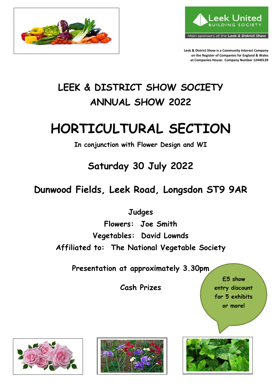



**Leek & District Show is a Community Interest Company on the Register of Companies for England & Wales at Companies House: Company Number 12449139** 

## **LEEK & DISTRICT SHOW SOCIETY ANNUAL SHOW 2022**

# **HORTICULTURAL SECTION**

**In conjunction with Flower Design and WI**

**Saturday 30 July 2022**

**Dunwood Fields, Leek Road, Longsdon ST9 9AR**

**Judges**

**Flowers: Joe Smith Vegetables: David Lownds Affiliated to: The National Vegetable Society**

**Presentation at approximately 3.30pm**

**Cash Prizes**

**£5 show entry discount for 5 exhibits or more!**





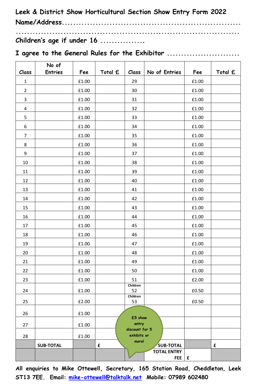**Leek & District Show Horticultural Section Show Entry Form 2022 Name/Address................................................................ ................................................................................**

**Children's age if under 16 ................**

|  |  |  |  | I agree to the General Rules for the Exhibitor |
|--|--|--|--|------------------------------------------------|

|                  | No of            |       |             |                               |                    |       |         |
|------------------|------------------|-------|-------------|-------------------------------|--------------------|-------|---------|
| Class            | <b>Entries</b>   | Fee   | Total £     | Class                         | No of Entries      | Fee   | Total £ |
| $\mathbf 1$      |                  | £1.00 |             | 29                            |                    | £1.00 |         |
| $\overline{2}$   |                  | £1.00 |             | 30                            |                    | £1.00 |         |
| 3                |                  | £1.00 |             | 31                            |                    | £1.00 |         |
| 4                |                  | £1.00 |             | 32                            |                    | £1.00 |         |
| 5                |                  | £1.00 |             | 33                            |                    | £1.00 |         |
| 6                |                  | £1.00 |             | 34                            |                    | £1.00 |         |
| $\boldsymbol{7}$ |                  | £1.00 |             | 35                            |                    | £1.00 |         |
| 8                |                  | £1.00 |             | 36                            |                    | £1.00 |         |
| 9                |                  | £1.00 |             | 37                            |                    | £1.00 |         |
| $10\,$           |                  | £1.00 |             | 38                            |                    | £1.00 |         |
| 11               |                  | £1.00 |             | 39                            |                    | £1.00 |         |
| 12               |                  | £1.00 |             | 40                            |                    | £1.00 |         |
| 13               |                  | £1.00 |             | 41                            |                    | £1.00 |         |
| 14               |                  | £1.00 |             | 42                            |                    | £1.00 |         |
| 15               |                  | £1.00 |             | 43                            |                    | £1.00 |         |
| 16               |                  | £1.00 |             | 44                            |                    | £1.00 |         |
| 17               |                  | £1.00 |             | 45                            |                    | £1.00 |         |
| 18               |                  | £1.00 |             | 46                            |                    | £1.00 |         |
| 19               |                  | £1.00 |             | 47                            |                    | £1.00 |         |
| 20               |                  | £1.00 |             | 48                            |                    | £1.00 |         |
| 21               |                  | £1.00 |             | 49                            |                    | £1.00 |         |
| 22               |                  | £1.00 |             | 50                            |                    | £1.00 |         |
| 23               |                  | £1.00 |             | 51                            |                    | £2.00 |         |
| 24               |                  | £1.00 |             | Children<br>52                |                    | £0.50 |         |
|                  |                  |       |             | Children                      |                    |       |         |
| 25               |                  | £2.00 |             | 53                            |                    | £0.50 |         |
| 26               |                  | £1.00 |             | £5 show                       |                    |       |         |
| 27               |                  | £1.00 |             | entry                         |                    |       |         |
| 28               |                  | £1.00 |             | discount for 5<br>exhibits or |                    |       |         |
|                  | <b>SUB-TOTAL</b> |       | $\mathbf f$ | more!                         | <b>SUB-TOTAL</b>   |       | £       |
|                  |                  |       |             |                               | <b>TOTAL ENTRY</b> |       |         |
|                  |                  |       |             |                               | <b>FEE</b>         | £     |         |

**All enquiries to Mike Ottewell, Secretary, 165 Station Road, Cheddleton, Leek ST13 7EE. Email: [mike-ottewell@talktalk.net](mailto:mike-ottewell@talktalk.net) Mobile: 07989 602480**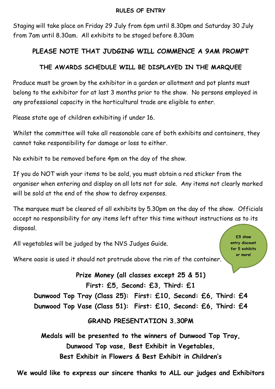#### **RULES OF ENTRY**

Staging will take place on Friday 29 July from 6pm until 8.30pm and Saturday 30 July from 7am until 8.30am. All exhibits to be staged before 8.30am

### **PLEASE NOTE THAT JUDGING WILL COMMENCE A 9AM PROMPT**

#### **THE AWARDS SCHEDULE WILL BE DISPLAYED IN THE MARQUEE**

Produce must be grown by the exhibitor in a garden or allotment and pot plants must belong to the exhibitor for at last 3 months prior to the show. No persons employed in any professional capacity in the horticultural trade are eligible to enter.

Please state age of children exhibiting if under 16.

Whilst the committee will take all reasonable care of both exhibits and containers, they cannot take responsibility for damage or loss to either.

No exhibit to be removed before 4pm on the day of the show.

If you do NOT wish your items to be sold, you must obtain a red sticker from the organiser when entering and display on all lots not for sale. Any items not clearly marked will be sold at the end of the show to defray expenses.

The marquee must be cleared of all exhibits by 5.30pm on the day of the show. Officials accept no responsibility for any items left after this time without instructions as to its disposal.

All vegetables will be judged by the NVS Judges Guide.

**£5 show entry discount for 5 exhibits or more!**

Where oasis is used it should not protrude above the rim of the container.

**Prize Money (all classes except 25 & 51) First: £5, Second: £3, Third: £1 Dunwood Top Tray (Class 25): First: £10, Second: £6, Third: £4 Dunwood Top Vase (Class 51): First: £10, Second: £6, Third: £4**

### **GRAND PRESENTATION 3.30PM**

**Medals will be presented to the winners of Dunwood Top Tray, Dunwood Top vase, Best Exhibit in Vegetables, Best Exhibit in Flowers & Best Exhibit in Children's**

**We would like to express our sincere thanks to ALL our judges and Exhibitors**